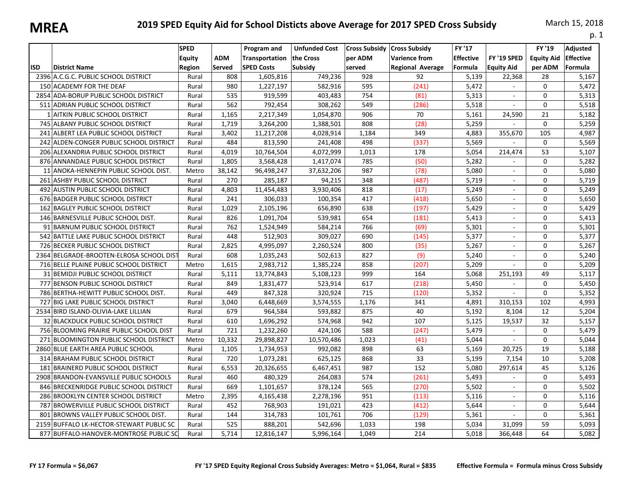|            |                                          |                                        |                      |                                                    |                                              |                                           |                                                                         |                                       |                                  |                                        | p. 1                                           |
|------------|------------------------------------------|----------------------------------------|----------------------|----------------------------------------------------|----------------------------------------------|-------------------------------------------|-------------------------------------------------------------------------|---------------------------------------|----------------------------------|----------------------------------------|------------------------------------------------|
| <b>ISD</b> | <b>District Name</b>                     | <b>SPED</b><br><b>Equity</b><br>Region | <b>ADM</b><br>Served | Program and<br>Transportation<br><b>SPED Costs</b> | <b>Unfunded Cost</b><br>the Cross<br>Subsidy | <b>Cross Subsidy</b><br>per ADM<br>served | <b>Cross Subsidy</b><br><b>Varience from</b><br><b>Regional Average</b> | FY '17<br><b>Effective</b><br>Formula | FY '19 SPED<br><b>Equity Aid</b> | FY '19<br><b>Equity Aid</b><br>per ADM | <b>Adjusted</b><br><b>Effective</b><br>Formula |
|            | 2396 A.C.G.C. PUBLIC SCHOOL DISTRICT     | Rural                                  | 808                  | 1,605,816                                          | 749,236                                      | 928                                       | 92                                                                      | 5,139                                 | 22,368                           | 28                                     | 5,167                                          |
|            | 150 ACADEMY FOR THE DEAF                 | Rural                                  | 980                  | 1,227,197                                          | 582,916                                      | 595                                       | (241)                                                                   | 5,472                                 | $\sim$                           | 0                                      | 5,472                                          |
|            | 2854 ADA-BORUP PUBLIC SCHOOL DISTRICT    | Rural                                  | 535                  | 919,599                                            | 403,483                                      | 754                                       | (81)                                                                    | 5,313                                 |                                  | 0                                      | 5,313                                          |
|            | 511 ADRIAN PUBLIC SCHOOL DISTRICT        | Rural                                  | 562                  | 792,454                                            | 308,262                                      | 549                                       | (286)                                                                   | 5,518                                 | $\sim$                           | 0                                      | 5,518                                          |
|            | 1 AITKIN PUBLIC SCHOOL DISTRICT          | Rural                                  | 1,165                | 2,217,349                                          | 1,054,870                                    | 906                                       | 70                                                                      | 5,161                                 | 24,590                           | 21                                     | 5,182                                          |
|            | 745 ALBANY PUBLIC SCHOOL DISTRICT        | Rural                                  | 1,719                | 3,264,200                                          | 1,388,501                                    | 808                                       | (28)                                                                    | 5.259                                 |                                  | $\Omega$                               | 5,259                                          |
|            | 241 ALBERT LEA PUBLIC SCHOOL DISTRICT    | Rural                                  | 3,402                | 11,217,208                                         | 4,028,914                                    | 1,184                                     | 349                                                                     | 4,883                                 | 355,670                          | 105                                    | 4,987                                          |
|            | 242 ALDEN-CONGER PUBLIC SCHOOL DISTRICT  | Rural                                  | 484                  | 813,590                                            | 241,408                                      | 498                                       | (337)                                                                   | 5,569                                 |                                  | 0                                      | 5,569                                          |
|            | 206 ALEXANDRIA PUBLIC SCHOOL DISTRICT    | Rural                                  | 4,019                | 10,764,504                                         | 4,072,999                                    | 1,013                                     | 178                                                                     | 5,054                                 | 214,474                          | 53                                     | 5,107                                          |
|            | 876 ANNANDALE PUBLIC SCHOOL DISTRICT     | Rural                                  | 1,805                | 3,568,428                                          | 1,417,074                                    | 785                                       | (50)                                                                    | 5,282                                 |                                  | 0                                      | 5,282                                          |
|            | 11 ANOKA-HENNEPIN PUBLIC SCHOOL DIST.    | Metro                                  | 38,142               | 96,498,247                                         | 37,632,206                                   | 987                                       | (78)                                                                    | 5,080                                 | ÷.                               | 0                                      | 5,080                                          |
|            | 261 ASHBY PUBLIC SCHOOL DISTRICT         | Rural                                  | 270                  | 285,187                                            | 94,215                                       | 348                                       | (487)                                                                   | 5,719                                 | $\blacksquare$                   | 0                                      | 5,719                                          |
|            | 492 AUSTIN PUBLIC SCHOOL DISTRICT        | Rural                                  | 4,803                | 11,454,483                                         | 3,930,406                                    | 818                                       | (17)                                                                    | 5,249                                 | $\overline{\phantom{a}}$         | 0                                      | 5,249                                          |
|            | 676 BADGER PUBLIC SCHOOL DISTRICT        | Rural                                  | 241                  | 306,033                                            | 100,354                                      | 417                                       | (418)                                                                   | 5,650                                 | $\overline{a}$                   | 0                                      | 5,650                                          |
|            | 162 BAGLEY PUBLIC SCHOOL DISTRICT        | Rural                                  | 1,029                | 2,105,196                                          | 656,890                                      | 638                                       | (197)                                                                   | 5,429                                 | $\mathcal{L}^{\mathcal{L}}$      | 0                                      | 5,429                                          |
|            | 146 BARNESVILLE PUBLIC SCHOOL DIST.      | Rural                                  | 826                  | 1,091,704                                          | 539,981                                      | 654                                       | (181)                                                                   | 5,413                                 | ÷.                               | 0                                      | 5,413                                          |
|            | 91 BARNUM PUBLIC SCHOOL DISTRICT         | Rural                                  | 762                  | 1,524,949                                          | 584,214                                      | 766                                       | (69)                                                                    | 5,301                                 | $\sim$                           | 0                                      | 5,301                                          |
|            | 542 BATTLE LAKE PUBLIC SCHOOL DISTRICT   | Rural                                  | 448                  | 512,903                                            | 309,027                                      | 690                                       | (145)                                                                   | 5,377                                 | $\mathbf{r}$                     | 0                                      | 5,377                                          |
|            | 726 BECKER PUBLIC SCHOOL DISTRICT        | Rural                                  | 2,825                | 4,995,097                                          | 2,260,524                                    | 800                                       | (35)                                                                    | 5,267                                 | $\mathbf{r}$                     | 0                                      | 5,267                                          |
|            | 2364 BELGRADE-BROOTEN-ELROSA SCHOOL DIST | Rural                                  | 608                  | 1,035,243                                          | 502,613                                      | 827                                       | (9)                                                                     | 5,240                                 | $\mathbf{r}$                     | 0                                      | 5,240                                          |
|            | 716 BELLE PLAINE PUBLIC SCHOOL DISTRICT  | Metro                                  | 1,615                | 2,983,712                                          | 1,385,224                                    | 858                                       | (207)                                                                   | 5,209                                 |                                  | 0                                      | 5,209                                          |
|            | 31 BEMIDJI PUBLIC SCHOOL DISTRICT        | Rural                                  | 5,111                | 13,774,843                                         | 5,108,123                                    | 999                                       | 164                                                                     | 5,068                                 | 251,193                          | 49                                     | 5,117                                          |
|            | 777 BENSON PUBLIC SCHOOL DISTRICT        | Rural                                  | 849                  | 1,831,477                                          | 523,914                                      | 617                                       | (218)                                                                   | 5,450                                 |                                  | 0                                      | 5,450                                          |
|            | 786 BERTHA-HEWITT PUBLIC SCHOOL DIST.    | Rural                                  | 449                  | 847,328                                            | 320,924                                      | 715                                       | (120)                                                                   | 5,352                                 | $\blacksquare$                   | 0                                      | 5,352                                          |
|            | 727 BIG LAKE PUBLIC SCHOOL DISTRICT      | Rural                                  | 3,040                | 6,448,669                                          | 3,574,555                                    | 1,176                                     | 341                                                                     | 4,891                                 | 310,153                          | 102                                    | 4,993                                          |
|            | 2534 BIRD ISLAND-OLIVIA-LAKE LILLIAN     | Rural                                  | 679                  | 964,584                                            | 593,882                                      | 875                                       | 40                                                                      | 5,192                                 | 8,104                            | 12                                     | 5,204                                          |
|            | 32 BLACKDUCK PUBLIC SCHOOL DISTRICT      | Rural                                  | 610                  | 1,696,292                                          | 574,968                                      | 942                                       | 107                                                                     | 5,125                                 | 19,537                           | 32                                     | 5,157                                          |
|            | 756 BLOOMING PRAIRIE PUBLIC SCHOOL DIST  | Rural                                  | 721                  | 1,232,260                                          | 424,106                                      | 588                                       | (247)                                                                   | 5,479                                 |                                  | $\Omega$                               | 5,479                                          |
|            | 271 BLOOMINGTON PUBLIC SCHOOL DISTRICT   | Metro                                  | 10,332               | 29,898,827                                         | 10,570,486                                   | 1,023                                     | (41)                                                                    | 5.044                                 | $\omega$                         | 0                                      | 5,044                                          |
|            | 2860 BLUE EARTH AREA PUBLIC SCHOOL       | Rural                                  | 1,105                | 1,734,953                                          | 992,082                                      | 898                                       | 63                                                                      | 5,169                                 | 20,725                           | 19                                     | 5,188                                          |
|            | 314 BRAHAM PUBLIC SCHOOL DISTRICT        | Rural                                  | 720                  | 1,073,281                                          | 625,125                                      | 868                                       | 33                                                                      | 5,199                                 | 7,154                            | 10                                     | 5,208                                          |
| 181        | <b>BRAINERD PUBLIC SCHOOL DISTRICT</b>   | Rural                                  | 6,553                | 20,326,655                                         | 6,467,451                                    | 987                                       | 152                                                                     | 5,080                                 | 297,614                          | 45                                     | 5,126                                          |
|            | 2908 BRANDON-EVANSVILLE PUBLIC SCHOOLS   | Rural                                  | 460                  | 480,329                                            | 264,083                                      | 574                                       | (261)                                                                   | 5,493                                 | $\overline{\phantom{a}}$         | 0                                      | 5,493                                          |
|            | 846 BRECKENRIDGE PUBLIC SCHOOL DISTRICT  | Rural                                  | 669                  | 1,101,657                                          | 378,124                                      | 565                                       | (270)                                                                   | 5,502                                 | $\mathbf{r}$                     | 0                                      | 5,502                                          |
|            | 286 BROOKLYN CENTER SCHOOL DISTRICT      | Metro                                  | 2,395                | 4,165,438                                          | 2,278,196                                    | 951                                       | (113)                                                                   | 5,116                                 |                                  | 0                                      | 5,116                                          |
|            | 787 BROWERVILLE PUBLIC SCHOOL DISTRICT   | Rural                                  | 452                  | 768,903                                            | 191,021                                      | 423                                       | (412)                                                                   | 5,644                                 | $\mathbf{r}$                     | 0                                      | 5,644                                          |
| 801        | BROWNS VALLEY PUBLIC SCHOOL DIST.        | Rural                                  | 144                  | 314,783                                            | 101,761                                      | 706                                       | (129)                                                                   | 5,361                                 | $\blacksquare$                   | 0                                      | 5,361                                          |
|            | 2159 BUFFALO LK-HECTOR-STEWART PUBLIC SC | Rural                                  | 525                  | 888,201                                            | 542,696                                      | 1,033                                     | 198                                                                     | 5,034                                 | 31,099                           | 59                                     | 5,093                                          |
|            | 877 BUFFALO-HANOVER-MONTROSE PUBLIC SC   | Rural                                  | 5,714                | 12,816,147                                         | 5,996,164                                    | 1,049                                     | 214                                                                     | 5,018                                 | 366,448                          | 64                                     | 5,082                                          |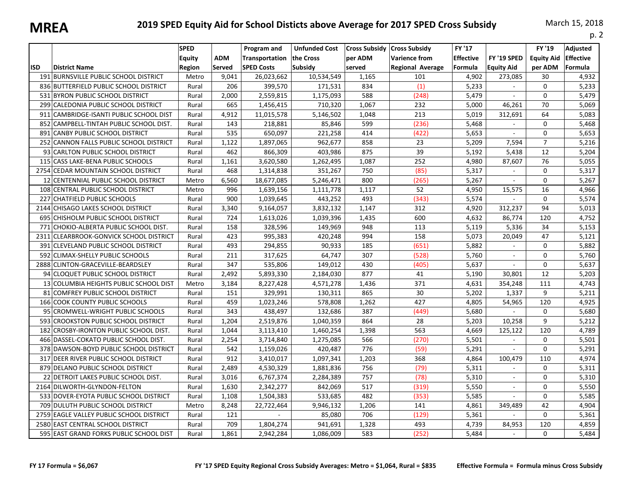| <u>IVIIILA</u> |                                          |                                               |                      |                                                           |                                              |                   |                                                                                  |                                              |                                  |                                        | p. 2                                           |
|----------------|------------------------------------------|-----------------------------------------------|----------------------|-----------------------------------------------------------|----------------------------------------------|-------------------|----------------------------------------------------------------------------------|----------------------------------------------|----------------------------------|----------------------------------------|------------------------------------------------|
| <b>ISD</b>     | <b>District Name</b>                     | <b>SPED</b><br><b>Equity</b><br><b>Region</b> | <b>ADM</b><br>Served | Program and<br><b>Transportation</b><br><b>SPED Costs</b> | <b>Unfunded Cost</b><br>the Cross<br>Subsidy | per ADM<br>served | Cross Subsidy   Cross Subsidy<br><b>Varience from</b><br><b>Regional Average</b> | <b>FY '17</b><br><b>Effective</b><br>Formula | FY '19 SPED<br><b>Equity Aid</b> | FY '19<br><b>Equity Aid</b><br>per ADM | <b>Adjusted</b><br><b>Effective</b><br>Formula |
|                | 191 BURNSVILLE PUBLIC SCHOOL DISTRICT    | Metro                                         | 9,041                | 26,023,662                                                | 10,534,549                                   | 1,165             | 101                                                                              | 4,902                                        | 273,085                          | 30                                     | 4,932                                          |
|                | 836 BUTTERFIELD PUBLIC SCHOOL DISTRICT   | Rural                                         | 206                  | 399,570                                                   | 171,531                                      | 834               | (1)                                                                              | 5,233                                        | $\sim$                           | 0                                      | 5,233                                          |
|                | 531 BYRON PUBLIC SCHOOL DISTRICT         | Rural                                         | 2,000                | 2,559,815                                                 | 1,175,093                                    | 588               | (248)                                                                            | 5,479                                        |                                  | 0                                      | 5,479                                          |
|                | 299 CALEDONIA PUBLIC SCHOOL DISTRICT     | Rural                                         | 665                  | 1,456,415                                                 | 710,320                                      | 1,067             | 232                                                                              | 5,000                                        | 46,261                           | 70                                     | 5,069                                          |
| 911            | CAMBRIDGE-ISANTI PUBLIC SCHOOL DIST      | Rural                                         | 4,912                | 11,015,578                                                | 5,146,502                                    | 1,048             | 213                                                                              | 5,019                                        | 312,691                          | 64                                     | 5,083                                          |
|                | 852 CAMPBELL-TINTAH PUBLIC SCHOOL DIST.  | Rural                                         | 143                  | 218,881                                                   | 85,846                                       | 599               | (236)                                                                            | 5,468                                        | $\sim$                           | $\Omega$                               | 5,468                                          |
| 891            | <b>CANBY PUBLIC SCHOOL DISTRICT</b>      | Rural                                         | 535                  | 650,097                                                   | 221,258                                      | 414               | (422)                                                                            | 5,653                                        | $\mathbf{r}$                     | 0                                      | 5,653                                          |
|                | 252 CANNON FALLS PUBLIC SCHOOL DISTRICT  | Rural                                         | 1,122                | 1,897,065                                                 | 962,677                                      | 858               | 23                                                                               | 5,209                                        | 7,594                            | $\overline{7}$                         | 5,216                                          |
|                | 93 CARLTON PUBLIC SCHOOL DISTRICT        | Rural                                         | 462                  | 866,309                                                   | 403,986                                      | 875               | 39                                                                               | 5,192                                        | 5,438                            | 12                                     | 5,204                                          |
|                | 115 CASS LAKE-BENA PUBLIC SCHOOLS        | Rural                                         | 1,161                | 3,620,580                                                 | 1,262,495                                    | 1,087             | 252                                                                              | 4,980                                        | 87,607                           | 76                                     | 5,055                                          |
|                | 2754 CEDAR MOUNTAIN SCHOOL DISTRICT      | Rural                                         | 468                  | 1,314,838                                                 | 351,267                                      | 750               | (85)                                                                             | 5,317                                        | $\mathbf{r}$                     | $\Omega$                               | 5,317                                          |
|                | 12 CENTENNIAL PUBLIC SCHOOL DISTRICT     | Metro                                         | 6,560                | 18,677,085                                                | 5,246,471                                    | 800               | (265)                                                                            | 5,267                                        | $\sim$                           | 0                                      | 5,267                                          |
|                | 108 CENTRAL PUBLIC SCHOOL DISTRICT       | Metro                                         | 996                  | 1,639,156                                                 | 1,111,778                                    | 1,117             | 52                                                                               | 4,950                                        | 15,575                           | 16                                     | 4,966                                          |
|                | 227 CHATFIELD PUBLIC SCHOOLS             | Rural                                         | 900                  | 1,039,645                                                 | 443,252                                      | 493               | (343)                                                                            | 5,574                                        |                                  | $\Omega$                               | 5,574                                          |
|                | 2144 CHISAGO LAKES SCHOOL DISTRICT       | Rural                                         | 3,340                | 9,164,057                                                 | 3,832,132                                    | 1.147             | 312                                                                              | 4.920                                        | 312,237                          | 94                                     | 5,013                                          |
|                | 695 CHISHOLM PUBLIC SCHOOL DISTRICT      | Rural                                         | 724                  | 1,613,026                                                 | 1,039,396                                    | 1,435             | 600                                                                              | 4,632                                        | 86,774                           | 120                                    | 4,752                                          |
|                | 771 CHOKIO-ALBERTA PUBLIC SCHOOL DIST.   | Rural                                         | 158                  | 328,596                                                   | 149,969                                      | 948               | 113                                                                              | 5,119                                        | 5,336                            | 34                                     | 5,153                                          |
| 2311           | CLEARBROOK-GONVICK SCHOOL DISTRICT       | Rural                                         | 423                  | 995,383                                                   | 420,248                                      | 994               | 158                                                                              | 5,073                                        | 20,049                           | 47                                     | 5,121                                          |
| 391            | CLEVELAND PUBLIC SCHOOL DISTRICT         | Rural                                         | 493                  | 294,855                                                   | 90,933                                       | 185               | (651)                                                                            | 5,882                                        |                                  | 0                                      | 5,882                                          |
|                | 592 CLIMAX-SHELLY PUBLIC SCHOOLS         | Rural                                         | 211                  | 317,625                                                   | 64,747                                       | 307               | (528)                                                                            | 5,760                                        | $\overline{\phantom{a}}$         | 0                                      | 5,760                                          |
|                | 2888 CLINTON-GRACEVILLE-BEARDSLEY        | Rural                                         | 347                  | 535,806                                                   | 149,012                                      | 430               | (405)                                                                            | 5,637                                        |                                  | 0                                      | 5,637                                          |
|                | 94 CLOQUET PUBLIC SCHOOL DISTRICT        | Rural                                         | 2,492                | 5,893,330                                                 | 2,184,030                                    | 877               | 41                                                                               | 5,190                                        | 30,801                           | 12                                     | 5,203                                          |
|                | 13 COLUMBIA HEIGHTS PUBLIC SCHOOL DIST   | Metro                                         | 3,184                | 8,227,428                                                 | 4,571,278                                    | 1,436             | 371                                                                              | 4,631                                        | 354,248                          | 111                                    | 4,743                                          |
| 81             | COMFREY PUBLIC SCHOOL DISTRICT           | Rural                                         | 151                  | 329,991                                                   | 130,311                                      | 865               | 30                                                                               | 5,202                                        | 1,337                            | 9                                      | 5,211                                          |
|                | 166 COOK COUNTY PUBLIC SCHOOLS           | Rural                                         | 459                  | 1,023,246                                                 | 578,808                                      | 1,262             | 427                                                                              | 4,805                                        | 54,965                           | 120                                    | 4,925                                          |
| 95             | CROMWELL-WRIGHT PUBLIC SCHOOLS           | Rural                                         | 343                  | 438,497                                                   | 132,686                                      | 387               | (449)                                                                            | 5,680                                        |                                  | 0                                      | 5,680                                          |
|                | 593 CROOKSTON PUBLIC SCHOOL DISTRICT     | Rural                                         | 1,204                | 2,519,876                                                 | 1,040,359                                    | 864               | 28                                                                               | 5,203                                        | 10,258                           | 9                                      | 5,212                                          |
|                | 182 CROSBY-IRONTON PUBLIC SCHOOL DIST.   | Rural                                         | 1,044                | 3,113,410                                                 | 1,460,254                                    | 1,398             | 563                                                                              | 4,669                                        | 125,122                          | 120                                    | 4,789                                          |
|                | 466 DASSEL-COKATO PUBLIC SCHOOL DIST.    | Rural                                         | 2,254                | 3,714,840                                                 | 1,275,085                                    | 566               | (270)                                                                            | 5,501                                        | $\sim$                           | 0                                      | 5,501                                          |
|                | 378 DAWSON-BOYD PUBLIC SCHOOL DISTRICT   | Rural                                         | 542                  | 1,159,026                                                 | 420,487                                      | 776               | (59)                                                                             | 5,291                                        |                                  | 0                                      | 5,291                                          |
|                | 317 DEER RIVER PUBLIC SCHOOL DISTRICT    | Rural                                         | 912                  | 3,410,017                                                 | 1,097,341                                    | 1,203             | 368                                                                              | 4,864                                        | 100,479                          | 110                                    | 4,974                                          |
|                | 879 DELANO PUBLIC SCHOOL DISTRICT        | Rural                                         | 2,489                | 4,530,329                                                 | 1,881,836                                    | 756               | (79)                                                                             | 5,311                                        | $\sim$                           | 0                                      | 5,311                                          |
|                | 22 DETROIT LAKES PUBLIC SCHOOL DIST.     | Rural                                         | 3,016                | 6,767,374                                                 | 2,284,389                                    | 757               | (78)                                                                             | 5,310                                        | $\blacksquare$                   | 0                                      | 5,310                                          |
|                | 2164 DILWORTH-GLYNDON-FELTON             | Rural                                         | 1,630                | 2,342,277                                                 | 842,069                                      | 517               | (319)                                                                            | 5,550                                        | ÷.                               | 0                                      | 5,550                                          |
|                | 533 DOVER-EYOTA PUBLIC SCHOOL DISTRICT   | Rural                                         | 1,108                | 1,504,383                                                 | 533,685                                      | 482               | (353)                                                                            | 5,585                                        |                                  | 0                                      | 5,585                                          |
|                | 709 DULUTH PUBLIC SCHOOL DISTRICT        | Metro                                         | 8,248                | 22,722,464                                                | 9,946,132                                    | 1,206             | 141                                                                              | 4,861                                        | 349,489                          | 42                                     | 4,904                                          |
|                | 2759 EAGLE VALLEY PUBLIC SCHOOL DISTRICT | Rural                                         | 121                  |                                                           | 85,080                                       | 706               | (129)                                                                            | 5,361                                        |                                  | 0                                      | 5,361                                          |
|                | 2580 EAST CENTRAL SCHOOL DISTRICT        | Rural                                         | 709                  | 1,804,274                                                 | 941,691                                      | 1,328             | 493                                                                              | 4,739                                        | 84,953                           | 120                                    | 4,859                                          |
|                | 595 EAST GRAND FORKS PUBLIC SCHOOL DIST  | Rural                                         | 1,861                | 2,942,284                                                 | 1,086,009                                    | 583               | (252)                                                                            | 5,484                                        | $\mathbf{r}$                     | 0                                      | 5,484                                          |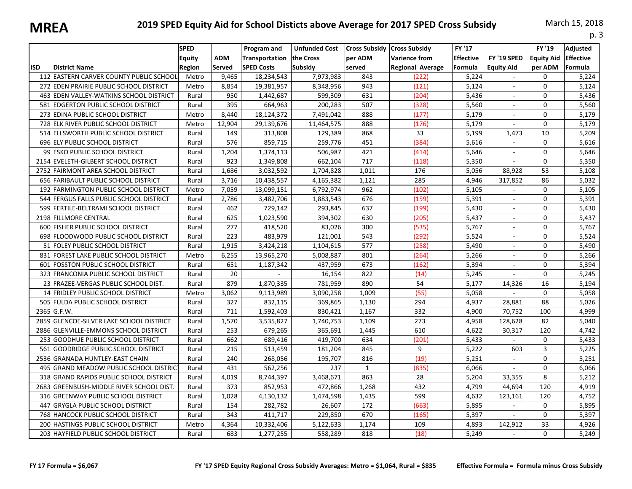| IVIILLA |                                            |                                 |               |                                                           |                                                     |                   |                                                                                  |                                              |                                  |                                        | p. 3                                    |
|---------|--------------------------------------------|---------------------------------|---------------|-----------------------------------------------------------|-----------------------------------------------------|-------------------|----------------------------------------------------------------------------------|----------------------------------------------|----------------------------------|----------------------------------------|-----------------------------------------|
| lisd    | <b>District Name</b>                       | <b>SPED</b><br>Equity<br>Region | ADM<br>Served | Program and<br><b>Transportation</b><br><b>SPED Costs</b> | <b>Unfunded Cost</b><br>the Cross<br><b>Subsidy</b> | per ADM<br>served | Cross Subsidy   Cross Subsidy<br><b>Varience from</b><br><b>Regional Average</b> | <b>FY '17</b><br><b>Effective</b><br>Formula | FY '19 SPED<br><b>Equity Aid</b> | FY '19<br><b>Equity Aid</b><br>per ADM | Adjusted<br><b>Effective</b><br>Formula |
|         | 112 EASTERN CARVER COUNTY PUBLIC SCHOOL    | Metro                           | 9,465         | 18,234,543                                                | 7,973,983                                           | 843               | (222)                                                                            | 5,224                                        | $\sim$                           | 0                                      | 5,224                                   |
|         | 272 EDEN PRAIRIE PUBLIC SCHOOL DISTRICT    | Metro                           | 8,854         | 19,381,957                                                | 8,348,956                                           | 943               | (121)                                                                            | 5,124                                        |                                  | 0                                      | 5,124                                   |
|         | 463 EDEN VALLEY-WATKINS SCHOOL DISTRICT    | Rural                           | 950           | 1,442,687                                                 | 599,309                                             | 631               | (204)                                                                            | 5,436                                        |                                  | 0                                      | 5,436                                   |
|         | 581 EDGERTON PUBLIC SCHOOL DISTRICT        | Rural                           | 395           | 664,963                                                   | 200,283                                             | 507               | (328)                                                                            | 5,560                                        | $\sim$                           | 0                                      | 5,560                                   |
|         | 273 EDINA PUBLIC SCHOOL DISTRICT           | Metro                           | 8,440         | 18,124,372                                                | 7,491,042                                           | 888               | (177)                                                                            | 5,179                                        | $\sim$                           | $\Omega$                               | 5,179                                   |
|         | 728 ELK RIVER PUBLIC SCHOOL DISTRICT       | Metro                           | 12,904        | 29,139,676                                                | 11,464,575                                          | 888               | (176)                                                                            | 5,179                                        | $\sim$                           | $\Omega$                               | 5,179                                   |
|         | 514 ELLSWORTH PUBLIC SCHOOL DISTRICT       | Rural                           | 149           | 313,808                                                   | 129,389                                             | 868               | 33                                                                               | 5,199                                        | 1,473                            | 10                                     | 5,209                                   |
|         | 696 ELY PUBLIC SCHOOL DISTRICT             | Rural                           | 576           | 859,715                                                   | 259,776                                             | 451               | (384)                                                                            | 5,616                                        | $\omega$                         | 0                                      | 5,616                                   |
|         | 99 ESKO PUBLIC SCHOOL DISTRICT             | Rural                           | 1,204         | 1,374,113                                                 | 506,987                                             | 421               | (414)                                                                            | 5,646                                        | $\sim$                           | $\Omega$                               | 5,646                                   |
|         | 2154 EVELETH-GILBERT SCHOOL DISTRICT       | Rural                           | 923           | 1,349,808                                                 | 662,104                                             | 717               | (118)                                                                            | 5,350                                        |                                  | 0                                      | 5,350                                   |
|         | 2752 FAIRMONT AREA SCHOOL DISTRICT         | Rural                           | 1,686         | 3,032,592                                                 | 1,704,828                                           | 1,011             | 176                                                                              | 5,056                                        | 88,928                           | 53                                     | 5,108                                   |
|         | 656 FARIBAULT PUBLIC SCHOOL DISTRICT       | Rural                           | 3,716         | 10,438,557                                                | 4,165,382                                           | 1,121             | 285                                                                              | 4,946                                        | 317,852                          | 86                                     | 5,032                                   |
|         | 192 FARMINGTON PUBLIC SCHOOL DISTRICT      | Metro                           | 7,059         | 13,099,151                                                | 6,792,974                                           | 962               | (102)                                                                            | 5,105                                        | $\sim$                           | $\Omega$                               | 5,105                                   |
|         | 544 FERGUS FALLS PUBLIC SCHOOL DISTRICT    | Rural                           | 2,786         | 3,482,706                                                 | 1,883,543                                           | 676               | (159)                                                                            | 5,391                                        |                                  | $\Omega$                               | 5,391                                   |
|         | 599 FERTILE-BELTRAMI SCHOOL DISTRICT       | Rural                           | 462           | 729,142                                                   | 293,845                                             | 637               | (199)                                                                            | 5,430                                        | $\sim$                           | $\Omega$                               | 5,430                                   |
|         | 2198 FILLMORE CENTRAL                      | Rural                           | 625           | 1,023,590                                                 | 394,302                                             | 630               | (205)                                                                            | 5,437                                        |                                  | $\Omega$                               | 5,437                                   |
|         | 600 FISHER PUBLIC SCHOOL DISTRICT          | Rural                           | 277           | 418,520                                                   | 83,026                                              | 300               | (535)                                                                            | 5,767                                        |                                  | $\Omega$                               | 5,767                                   |
|         | 698 FLOODWOOD PUBLIC SCHOOL DISTRICT       | Rural                           | 223           | 483,979                                                   | 121,001                                             | 543               | (292)                                                                            | 5,524                                        |                                  | $\Omega$                               | 5,524                                   |
|         | 51 FOLEY PUBLIC SCHOOL DISTRICT            | Rural                           | 1,915         | 3,424,218                                                 | 1,104,615                                           | 577               | (258)                                                                            | 5,490                                        |                                  | $\Omega$                               | 5,490                                   |
| 831     | <b>FOREST LAKE PUBLIC SCHOOL DISTRICT</b>  | Metro                           | 6,255         | 13,965,270                                                | 5,008,887                                           | 801               | (264)                                                                            | 5,266                                        | $\mathcal{L}$                    | $\Omega$                               | 5,266                                   |
| 601     | FOSSTON PUBLIC SCHOOL DISTRICT             | Rural                           | 651           | 1,187,342                                                 | 437,959                                             | 673               | (162)                                                                            | 5,394                                        |                                  | $\Omega$                               | 5,394                                   |
|         | 323 FRANCONIA PUBLIC SCHOOL DISTRICT       | Rural                           | 20            | $\overline{\phantom{a}}$                                  | 16,154                                              | 822               | (14)                                                                             | 5,245                                        | $\sim$                           | $\Omega$                               | 5,245                                   |
|         | 23 FRAZEE-VERGAS PUBLIC SCHOOL DIST.       | Rural                           | 879           | 1,870,335                                                 | 781,959                                             | 890               | 54                                                                               | 5,177                                        | 14,326                           | 16                                     | 5,194                                   |
|         | 14 FRIDLEY PUBLIC SCHOOL DISTRICT          | Metro                           | 3,062         | 9,113,989                                                 | 3,090,258                                           | 1,009             | (55)                                                                             | 5,058                                        |                                  | $\Omega$                               | 5,058                                   |
|         | 505 FULDA PUBLIC SCHOOL DISTRICT           | Rural                           | 327           | 832,115                                                   | 369,865                                             | 1,130             | 294                                                                              | 4,937                                        | 28,881                           | 88                                     | 5,026                                   |
|         | $2365$ G.F.W.                              | Rural                           | 711           | 1,592,403                                                 | 830,421                                             | 1,167             | 332                                                                              | 4,900                                        | 70,752                           | 100                                    | 4,999                                   |
|         | 2859 GLENCOE-SILVER LAKE SCHOOL DISTRICT   | Rural                           | 1,570         | 3,535,827                                                 | 1,740,753                                           | 1,109             | 273                                                                              | 4,958                                        | 128,628                          | 82                                     | 5,040                                   |
|         | 2886 GLENVILLE-EMMONS SCHOOL DISTRICT      | Rural                           | 253           | 679,265                                                   | 365,691                                             | 1,445             | 610                                                                              | 4,622                                        | 30,317                           | 120                                    | 4,742                                   |
|         | 253 GOODHUE PUBLIC SCHOOL DISTRICT         | Rural                           | 662           | 689,416                                                   | 419,700                                             | 634               | (201)                                                                            | 5,433                                        | $\sim$                           | 0                                      | 5,433                                   |
| 561     | GOODRIDGE PUBLIC SCHOOL DISTRICT           | Rural                           | 215           | 513,459                                                   | 181,204                                             | 845               | 9                                                                                | 5,222                                        | 603                              | 3                                      | 5,225                                   |
|         | 2536 GRANADA HUNTLEY-EAST CHAIN            | Rural                           | 240           | 268,056                                                   | 195,707                                             | 816               | (19)                                                                             | 5,251                                        | $\sim$                           | $\Omega$                               | 5,251                                   |
|         | 495 GRAND MEADOW PUBLIC SCHOOL DISTRICT    | Rural                           | 431           | 562,256                                                   | 237                                                 | $\mathbf{1}$      | (835)                                                                            | 6,066                                        | $\sim$                           | 0                                      | 6,066                                   |
| 318     | <b>GRAND RAPIDS PUBLIC SCHOOL DISTRICT</b> | Rural                           | 4,019         | 8,744,397                                                 | 3,468,671                                           | 863               | 28                                                                               | 5,204                                        | 33,355                           | 8                                      | 5,212                                   |
|         | 2683 GREENBUSH-MIDDLE RIVER SCHOOL DIST.   | Rural                           | 373           | 852,953                                                   | 472,866                                             | 1,268             | 432                                                                              | 4,799                                        | 44,694                           | 120                                    | 4,919                                   |
|         | 316 GREENWAY PUBLIC SCHOOL DISTRICT        | Rural                           | 1,028         | 4,130,132                                                 | 1,474,598                                           | 1,435             | 599                                                                              | 4,632                                        | 123,161                          | 120                                    | 4,752                                   |
| 447     | GRYGLA PUBLIC SCHOOL DISTRICT              | Rural                           | 154           | 282,782                                                   | 26,607                                              | 172               | (663)                                                                            | 5,895                                        | $\sim$                           | 0                                      | 5,895                                   |
|         | 768 HANCOCK PUBLIC SCHOOL DISTRICT         | Rural                           | 343           | 411,717                                                   | 229,850                                             | 670               | (165)                                                                            | 5,397                                        | $\sim$                           | 0                                      | 5,397                                   |
|         | 200 HASTINGS PUBLIC SCHOOL DISTRICT        | Metro                           | 4,364         | 10,332,406                                                | 5,122,633                                           | 1,174             | 109                                                                              | 4,893                                        | 142,912                          | 33                                     | 4,926                                   |
|         | 203 HAYFIELD PUBLIC SCHOOL DISTRICT        | Rural                           | 683           | 1,277,255                                                 | 558,289                                             | 818               | (18)                                                                             | 5,249                                        | $\sim$                           | 0                                      | 5,249                                   |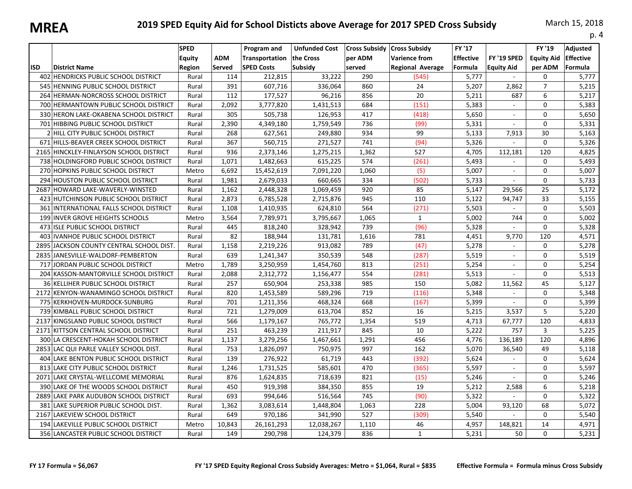|            |                                           |                                        |                             |                                                    |                                              |                                                         |                                                 |                                       |                                  |                                        | p. 4                                    |
|------------|-------------------------------------------|----------------------------------------|-----------------------------|----------------------------------------------------|----------------------------------------------|---------------------------------------------------------|-------------------------------------------------|---------------------------------------|----------------------------------|----------------------------------------|-----------------------------------------|
| <b>ISD</b> | <b>District Name</b>                      | <b>SPED</b><br><b>Equity</b><br>Region | <b>ADM</b><br><b>Served</b> | Program and<br>Transportation<br><b>SPED Costs</b> | <b>Unfunded Cost</b><br>the Cross<br>Subsidy | <b>Cross Subsidy Cross Subsidy</b><br>per ADM<br>served | <b>Varience from</b><br><b>Regional Average</b> | FY '17<br><b>Effective</b><br>Formula | FY '19 SPED<br><b>Equity Aid</b> | FY '19<br><b>Equity Aid</b><br>per ADM | Adjusted<br><b>Effective</b><br>Formula |
|            | 402 HENDRICKS PUBLIC SCHOOL DISTRICT      | Rural                                  | 114                         | 212,815                                            | 33,222                                       | 290                                                     | (545)                                           | 5,777                                 | $\sim$                           | 0                                      | 5,777                                   |
|            | 545 HENNING PUBLIC SCHOOL DISTRICT        | Rural                                  | 391                         | 607,716                                            | 336,064                                      | 860                                                     | 24                                              | 5,207                                 | 2,862                            | $\overline{7}$                         | 5,215                                   |
|            | 264 HERMAN-NORCROSS SCHOOL DISTRICT       | Rural                                  | 112                         | 177,527                                            | 96,216                                       | 856                                                     | 20                                              | 5,211                                 | 687                              | 6                                      | 5,217                                   |
|            | 700 HERMANTOWN PUBLIC SCHOOL DISTRICT     | Rural                                  | 2,092                       | 3,777,820                                          | 1,431,513                                    | 684                                                     | (151)                                           | 5,383                                 | $\mathcal{L}_{\mathcal{A}}$      | 0                                      | 5,383                                   |
|            | 330 HERON LAKE-OKABENA SCHOOL DISTRICT    | Rural                                  | 305                         | 505,738                                            | 126,953                                      | 417                                                     | (418)                                           | 5,650                                 | $\sim$                           | $\Omega$                               | 5,650                                   |
|            | 701 HIBBING PUBLIC SCHOOL DISTRICT        | Rural                                  | 2,390                       | 4,349,180                                          | 1,759,549                                    | 736                                                     | (99)                                            | 5,331                                 | $\sim$                           | 0                                      | 5,331                                   |
|            | 2 HILL CITY PUBLIC SCHOOL DISTRICT        | Rural                                  | 268                         | 627,561                                            | 249,880                                      | 934                                                     | 99                                              | 5,133                                 | 7,913                            | 30                                     | 5,163                                   |
|            | 671 HILLS-BEAVER CREEK SCHOOL DISTRICT    | Rural                                  | 367                         | 560,715                                            | 271,527                                      | 741                                                     | (94)                                            | 5,326                                 |                                  | 0                                      | 5,326                                   |
|            | 2165 HINCKLEY-FINLAYSON SCHOOL DISTRICT   | Rural                                  | 936                         | 2,373,146                                          | 1,275,215                                    | 1,362                                                   | 527                                             | 4,705                                 | 112,181                          | 120                                    | 4,825                                   |
|            | 738 HOLDINGFORD PUBLIC SCHOOL DISTRICT    | Rural                                  | 1,071                       | 1,482,663                                          | 615,225                                      | 574                                                     | (261)                                           | 5,493                                 |                                  | $\Omega$                               | 5,493                                   |
|            | 270 HOPKINS PUBLIC SCHOOL DISTRICT        | Metro                                  | 6,692                       | 15,452,619                                         | 7,091,220                                    | 1,060                                                   | (5)                                             | 5,007                                 | $\sim$                           | 0                                      | 5,007                                   |
|            | 294 HOUSTON PUBLIC SCHOOL DISTRICT        | Rural                                  | 1,981                       | 2,679,033                                          | 660,665                                      | 334                                                     | (502)                                           | 5,733                                 | $\sim$                           | $\mathbf 0$                            | 5,733                                   |
|            | 2687 HOWARD LAKE-WAVERLY-WINSTED          | Rural                                  | 1,162                       | 2,448,328                                          | 1,069,459                                    | 920                                                     | 85                                              | 5,147                                 | 29,566                           | 25                                     | 5,172                                   |
|            | 423 HUTCHINSON PUBLIC SCHOOL DISTRICT     | Rural                                  | 2,873                       | 6,785,528                                          | 2,715,876                                    | 945                                                     | 110                                             | 5,122                                 | 94,747                           | 33                                     | 5,155                                   |
|            | 361 INTERNATIONAL FALLS SCHOOL DISTRICT   | Rural                                  | 1,108                       | 1,410,935                                          | 624,810                                      | 564                                                     | (271)                                           | 5,503                                 | $\mathcal{L}_{\mathcal{A}}$      | 0                                      | 5,503                                   |
|            | 199 INVER GROVE HEIGHTS SCHOOLS           | Metro                                  | 3,564                       | 7,789,971                                          | 3,795,667                                    | 1,065                                                   | $\mathbf{1}$                                    | 5,002                                 | 744                              | 0                                      | 5,002                                   |
|            | 473 ISLE PUBLIC SCHOOL DISTRICT           | Rural                                  | 445                         | 818,240                                            | 328,942                                      | 739                                                     | (96)                                            | 5,328                                 |                                  | 0                                      | 5,328                                   |
|            | 403 IVANHOE PUBLIC SCHOOL DISTRICT        | Rural                                  | 82                          | 188,944                                            | 131,781                                      | 1,616                                                   | 781                                             | 4,451                                 | 9,770                            | 120                                    | 4,571                                   |
|            | 2895 JJACKSON COUNTY CENTRAL SCHOOL DIST. | Rural                                  | 1,158                       | 2,219,226                                          | 913,082                                      | 789                                                     | (47)                                            | 5,278                                 |                                  | $\Omega$                               | 5,278                                   |
|            | 2835 JANESVILLE-WALDORF-PEMBERTON         | Rural                                  | 639                         | 1,241,347                                          | 350,539                                      | 548                                                     | (287)                                           | 5,519                                 | $\sim$                           | $\Omega$                               | 5,519                                   |
|            | 717 JORDAN PUBLIC SCHOOL DISTRICT         | Metro                                  | 1,789                       | 3,250,959                                          | 1,454,760                                    | 813                                                     | (251)                                           | 5,254                                 | $\sim$                           | $\mathbf 0$                            | 5,254                                   |
|            | 204 KASSON-MANTORVILLE SCHOOL DISTRICT    | Rural                                  | 2,088                       | 2,312,772                                          | 1,156,477                                    | 554                                                     | (281)                                           | 5,513                                 | $\sim$                           | $\Omega$                               | 5,513                                   |
|            | 36 KELLIHER PUBLIC SCHOOL DISTRICT        | Rural                                  | 257                         | 650,904                                            | 253,338                                      | 985                                                     | 150                                             | 5,082                                 | 11,562                           | 45                                     | 5,127                                   |
|            | 2172 KENYON-WANAMINGO SCHOOL DISTRICT     | Rural                                  | 820                         | 1,453,589                                          | 589,296                                      | 719                                                     | (116)                                           | 5,348                                 |                                  | $\Omega$                               | 5,348                                   |
|            | 775 KERKHOVEN-MURDOCK-SUNBURG             | Rural                                  | 701                         | 1,211,356                                          | 468,324                                      | 668                                                     | (167)                                           | 5,399                                 | $\mathcal{L}_{\mathcal{A}}$      | $\Omega$                               | 5,399                                   |
|            | 739 KIMBALL PUBLIC SCHOOL DISTRICT        | Rural                                  | 721                         | 1,279,009                                          | 613,704                                      | 852                                                     | 16                                              | 5,215                                 | 3,537                            | 5                                      | 5,220                                   |
|            | 2137 KINGSLAND PUBLIC SCHOOL DISTRICT     | Rural                                  | 566                         | 1,179,167                                          | 765,772                                      | 1,354                                                   | 519                                             | 4,713                                 | 67,777                           | 120                                    | 4,833                                   |
|            | 2171 KITTSON CENTRAL SCHOOL DISTRICT      | Rural                                  | 251                         | 463,239                                            | 211,917                                      | 845                                                     | 10                                              | 5,222                                 | 757                              | $\overline{3}$                         | 5,225                                   |
|            | 300 LA CRESCENT-HOKAH SCHOOL DISTRICT     | Rural                                  | 1,137                       | 3,279,256                                          | 1,467,661                                    | 1,291                                                   | 456                                             | 4,776                                 | 136,189                          | 120                                    | 4,896                                   |
|            | 2853 LAC QUI PARLE VALLEY SCHOOL DIST.    | Rural                                  | 753                         | 1,826,097                                          | 750,975                                      | 997                                                     | 162                                             | 5,070                                 | 36,540                           | 49                                     | 5,118                                   |
|            | 404 LAKE BENTON PUBLIC SCHOOL DISTRICT    | Rural                                  | 139                         | 276,922                                            | 61,719                                       | 443                                                     | (392)                                           | 5,624                                 |                                  | $\Omega$                               | 5,624                                   |
|            | 813 LAKE CITY PUBLIC SCHOOL DISTRICT      | Rural                                  | 1,246                       | 1,731,525                                          | 585,601                                      | 470                                                     | (365)                                           | 5,597                                 | $\sim$                           | 0                                      | 5,597                                   |
|            | 2071 LAKE CRYSTAL-WELLCOME MEMORIAL       | Rural                                  | 876                         | 1,624,835                                          | 718,639                                      | 821                                                     | (15)                                            | 5,246                                 | $\sim$                           | 0                                      | 5,246                                   |
|            | 390 LAKE OF THE WOODS SCHOOL DISTRICT     | Rural                                  | 450                         | 919,398                                            | 384,350                                      | 855                                                     | 19                                              | 5,212                                 | 2,588                            | 6                                      | 5,218                                   |
|            | 2889 LAKE PARK AUDUBON SCHOOL DISTRICT    | Rural                                  | 693                         | 994,646                                            | 516,564                                      | 745                                                     | (90)                                            | 5,322                                 |                                  | $\Omega$                               | 5,322                                   |
|            | 381 LAKE SUPERIOR PUBLIC SCHOOL DIST.     | Rural                                  | 1,362                       | 3,083,614                                          | 1,448,804                                    | 1,063                                                   | 228                                             | 5,004                                 | 93,120                           | 68                                     | 5,072                                   |
|            | 2167 LAKEVIEW SCHOOL DISTRICT             | Rural                                  | 649                         | 970,186                                            | 341,990                                      | 527                                                     | (309)                                           | 5,540                                 | $\sim$                           | 0                                      | 5,540                                   |
|            | 194 LAKEVILLE PUBLIC SCHOOL DISTRICT      | Metro                                  | 10,843                      | 26,161,293                                         | 12,038,267                                   | 1,110                                                   | 46                                              | 4,957                                 | 148,821                          | 14                                     | 4,971                                   |
|            | 356 LANCASTER PUBLIC SCHOOL DISTRICT      | Rural                                  | 149                         | 290,798                                            | 124,379                                      | 836                                                     | $\mathbf{1}$                                    | 5,231                                 | 50                               | $\Omega$                               | 5,231                                   |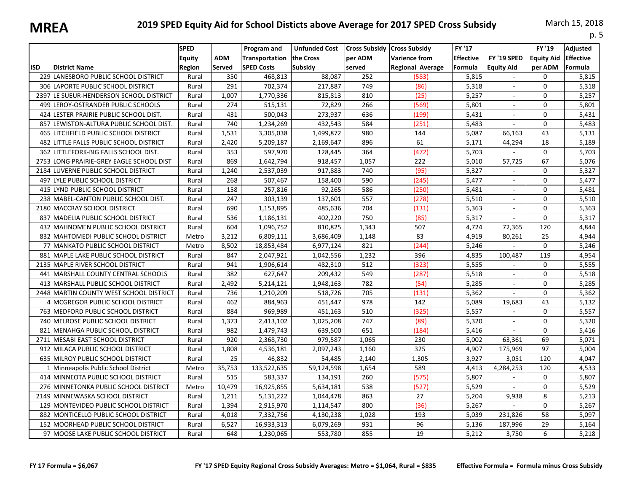| IVIILLA    |                                          |                                        |                      |                                                           |                                              |                   |                                                                                  |                                              |                                  |                                        | p. 5                                    |
|------------|------------------------------------------|----------------------------------------|----------------------|-----------------------------------------------------------|----------------------------------------------|-------------------|----------------------------------------------------------------------------------|----------------------------------------------|----------------------------------|----------------------------------------|-----------------------------------------|
| <b>ISD</b> | <b>District Name</b>                     | <b>SPED</b><br><b>Equity</b><br>Region | ADM<br><b>Served</b> | Program and<br><b>Transportation</b><br><b>SPED Costs</b> | <b>Unfunded Cost</b><br>the Cross<br>Subsidy | per ADM<br>served | Cross Subsidy   Cross Subsidy<br><b>Varience from</b><br><b>Regional Average</b> | <b>FY '17</b><br><b>Effective</b><br>Formula | FY '19 SPED<br><b>Equity Aid</b> | FY '19<br><b>Equity Aid</b><br>per ADM | Adjusted<br><b>Effective</b><br>Formula |
|            | 229 LANESBORO PUBLIC SCHOOL DISTRICT     | Rural                                  | 350                  | 468,813                                                   | 88,087                                       | 252               | (583)                                                                            | 5,815                                        | $\sim$                           | $\Omega$                               | 5,815                                   |
|            | 306 LAPORTE PUBLIC SCHOOL DISTRICT       | Rural                                  | 291                  | 702,374                                                   | 217,887                                      | 749               | (86)                                                                             | 5,318                                        | $\sim$                           | $\Omega$                               | 5,318                                   |
|            | 2397 LE SUEUR-HENDERSON SCHOOL DISTRICT  | Rural                                  | 1,007                | 1,770,336                                                 | 815,813                                      | 810               | (25)                                                                             | 5,257                                        | $\sim$                           | $\Omega$                               | 5,257                                   |
|            | 499 LEROY-OSTRANDER PUBLIC SCHOOLS       | Rural                                  | 274                  | 515,131                                                   | 72,829                                       | 266               | (569)                                                                            | 5,801                                        |                                  | $\Omega$                               | 5,801                                   |
|            | 424 LESTER PRAIRIE PUBLIC SCHOOL DIST.   | Rural                                  | 431                  | 500,043                                                   | 273,937                                      | 636               | (199)                                                                            | 5,431                                        | $\sim$                           | $\Omega$                               | 5,431                                   |
|            | 857 LEWISTON-ALTURA PUBLIC SCHOOL DIST.  | Rural                                  | 740                  | 1,234,269                                                 | 432,543                                      | 584               | (251)                                                                            | 5,483                                        | $\mathcal{L}_{\mathcal{A}}$      | $\Omega$                               | 5,483                                   |
|            | 465 LITCHFIELD PUBLIC SCHOOL DISTRICT    | Rural                                  | 1,531                | 3,305,038                                                 | 1,499,872                                    | 980               | 144                                                                              | 5,087                                        | 66,163                           | 43                                     | 5,131                                   |
|            | 482 LITTLE FALLS PUBLIC SCHOOL DISTRICT  | Rural                                  | 2,420                | 5,209,187                                                 | 2,169,647                                    | 896               | 61                                                                               | 5,171                                        | 44,294                           | 18                                     | 5,189                                   |
|            | 362 LITTLEFORK-BIG FALLS SCHOOL DIST.    | Rural                                  | 353                  | 597,970                                                   | 128,445                                      | 364               | (472)                                                                            | 5,703                                        |                                  | $\Omega$                               | 5,703                                   |
|            | 2753 LONG PRAIRIE-GREY EAGLE SCHOOL DIST | Rural                                  | 869                  | 1,642,794                                                 | 918,457                                      | 1,057             | 222                                                                              | 5,010                                        | 57,725                           | 67                                     | 5,076                                   |
|            | 2184 LUVERNE PUBLIC SCHOOL DISTRICT      | Rural                                  | 1,240                | 2,537,039                                                 | 917,883                                      | 740               | (95)                                                                             | 5,327                                        |                                  | 0                                      | 5,327                                   |
|            | 497 LYLE PUBLIC SCHOOL DISTRICT          | Rural                                  | 268                  | 507,467                                                   | 158,400                                      | 590               | (245)                                                                            | 5,477                                        | $\sim$                           | $\mathbf 0$                            | 5,477                                   |
|            | 415 LYND PUBLIC SCHOOL DISTRICT          | Rural                                  | 158                  | 257,816                                                   | 92,265                                       | 586               | (250)                                                                            | 5,481                                        |                                  | 0                                      | 5,481                                   |
|            | 238 MABEL-CANTON PUBLIC SCHOOL DIST.     | Rural                                  | 247                  | 303,139                                                   | 137,601                                      | 557               | (278)                                                                            | 5,510                                        |                                  | $\Omega$                               | 5,510                                   |
|            | 2180 MACCRAY SCHOOL DISTRICT             | Rural                                  | 690                  | 1,153,895                                                 | 485,636                                      | 704               | (131)                                                                            | 5,363                                        | $\sim$                           | 0                                      | 5,363                                   |
|            | 837 MADELIA PUBLIC SCHOOL DISTRICT       | Rural                                  | 536                  | 1,186,131                                                 | 402,220                                      | 750               | (85)                                                                             | 5,317                                        | $\sim$                           | $\Omega$                               | 5,317                                   |
|            | 432 MAHNOMEN PUBLIC SCHOOL DISTRICT      | Rural                                  | 604                  | 1,096,752                                                 | 810,825                                      | 1,343             | 507                                                                              | 4.724                                        | 72,365                           | 120                                    | 4,844                                   |
|            | 832 MAHTOMEDI PUBLIC SCHOOL DISTRICT     | Metro                                  | 3,212                | 6,809,111                                                 | 3,686,409                                    | 1,148             | 83                                                                               | 4,919                                        | 80,261                           | 25                                     | 4,944                                   |
|            | 77 MANKATO PUBLIC SCHOOL DISTRICT        | Metro                                  | 8,502                | 18,853,484                                                | 6,977,124                                    | 821               | (244)                                                                            | 5,246                                        |                                  | $\Omega$                               | 5,246                                   |
|            | 881 MAPLE LAKE PUBLIC SCHOOL DISTRICT    | Rural                                  | 847                  | 2,047,921                                                 | 1,042,556                                    | 1,232             | 396                                                                              | 4,835                                        | 100,487                          | 119                                    | 4,954                                   |
|            | 2135 MAPLE RIVER SCHOOL DISTRICT         | Rural                                  | 941                  | 1,906,614                                                 | 482,310                                      | 512               | (323)                                                                            | 5,555                                        |                                  | $\Omega$                               | 5,555                                   |
|            | 441 MARSHALL COUNTY CENTRAL SCHOOLS      | Rural                                  | 382                  | 627,647                                                   | 209,432                                      | 549               | (287)                                                                            | 5,518                                        | $\mathcal{L}_{\mathcal{A}}$      | 0                                      | 5,518                                   |
|            | 413 MARSHALL PUBLIC SCHOOL DISTRICT      | Rural                                  | 2,492                | 5,214,121                                                 | 1,948,163                                    | 782               | (54)                                                                             | 5,285                                        | $\sim$                           | $\Omega$                               | 5,285                                   |
|            | 2448 MARTIN COUNTY WEST SCHOOL DISTRICT  | Rural                                  | 736                  | 1,210,209                                                 | 518,726                                      | 705               | (131)                                                                            | 5,362                                        | $\sim$                           | 0                                      | 5,362                                   |
|            | 4 MCGREGOR PUBLIC SCHOOL DISTRICT        | Rural                                  | 462                  | 884,963                                                   | 451,447                                      | 978               | 142                                                                              | 5,089                                        | 19,683                           | 43                                     | 5,132                                   |
|            | 763 MEDFORD PUBLIC SCHOOL DISTRICT       | Rural                                  | 884                  | 969,989                                                   | 451,163                                      | 510               | (325)                                                                            | 5,557                                        | $\sim$                           | $\Omega$                               | 5,557                                   |
|            | 740 MELROSE PUBLIC SCHOOL DISTRICT       | Rural                                  | 1,373                | 2,413,102                                                 | 1,025,208                                    | 747               | (89)                                                                             | 5,320                                        | $\sim$                           | 0                                      | 5,320                                   |
|            | 821 MENAHGA PUBLIC SCHOOL DISTRICT       | Rural                                  | 982                  | 1,479,743                                                 | 639,500                                      | 651               | (184)                                                                            | 5,416                                        |                                  | 0                                      | 5,416                                   |
|            | 2711 MESABI EAST SCHOOL DISTRICT         | Rural                                  | 920                  | 2,368,730                                                 | 979,587                                      | 1,065             | 230                                                                              | 5,002                                        | 63,361                           | 69                                     | 5,071                                   |
|            | 912 MILACA PUBLIC SCHOOL DISTRICT        | Rural                                  | 1,808                | 4,536,181                                                 | 2,097,243                                    | 1,160             | 325                                                                              | 4,907                                        | 175,969                          | 97                                     | 5,004                                   |
|            | 635 MILROY PUBLIC SCHOOL DISTRICT        | Rural                                  | 25                   | 46,832                                                    | 54,485                                       | 2,140             | 1,305                                                                            | 3,927                                        | 3,051                            | 120                                    | 4,047                                   |
|            | 1 Minneapolis Public School District     | Metro                                  | 35,753               | 133,522,635                                               | 59,124,598                                   | 1,654             | 589                                                                              | 4,413                                        | 4,284,253                        | 120                                    | 4,533                                   |
|            | 414 MINNEOTA PUBLIC SCHOOL DISTRICT      | Rural                                  | 515                  | 583,337                                                   | 134,191                                      | 260               | (575)                                                                            | 5,807                                        | $\sim$                           | $\Omega$                               | 5,807                                   |
|            | 276 MINNETONKA PUBLIC SCHOOL DISTRICT    | Metro                                  | 10,479               | 16,925,855                                                | 5,634,181                                    | 538               | (527)                                                                            | 5,529                                        | $\mathcal{L}_{\mathcal{A}}$      | 0                                      | 5,529                                   |
|            | 2149 MINNEWASKA SCHOOL DISTRICT          | Rural                                  | 1,211                | 5,131,222                                                 | 1,044,478                                    | 863               | 27                                                                               | 5,204                                        | 9,938                            | 8                                      | 5,213                                   |
|            | 129 MONTEVIDEO PUBLIC SCHOOL DISTRICT    | Rural                                  | 1,394                | 2,915,970                                                 | 1,114,547                                    | 800               | (36)                                                                             | 5,267                                        | $\omega$                         | 0                                      | 5,267                                   |
|            | 882 MONTICELLO PUBLIC SCHOOL DISTRICT    | Rural                                  | 4,018                | 7,332,756                                                 | 4,130,238                                    | 1,028             | 193                                                                              | 5,039                                        | 231,826                          | 58                                     | 5,097                                   |
|            | 152 MOORHEAD PUBLIC SCHOOL DISTRICT      | Rural                                  | 6,527                | 16,933,313                                                | 6,079,269                                    | 931               | 96                                                                               | 5,136                                        | 187,996                          | 29                                     | 5,164                                   |
|            | 97 MOOSE LAKE PUBLIC SCHOOL DISTRICT     | Rural                                  | 648                  | 1,230,065                                                 | 553,780                                      | 855               | 19                                                                               | 5,212                                        | 3,750                            | 6                                      | 5,218                                   |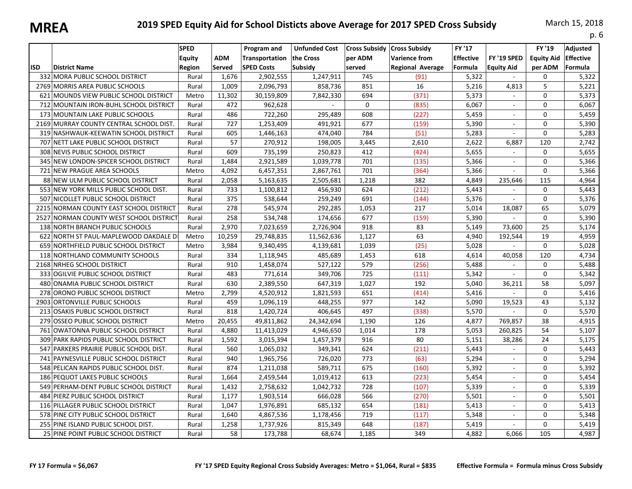|            |                                         |                                        |                      |                                                    |                                              |                                           |                                                                         |                                       |                                  |                                        | p. 6                                    |
|------------|-----------------------------------------|----------------------------------------|----------------------|----------------------------------------------------|----------------------------------------------|-------------------------------------------|-------------------------------------------------------------------------|---------------------------------------|----------------------------------|----------------------------------------|-----------------------------------------|
| <b>ISD</b> | <b>District Name</b>                    | <b>SPED</b><br><b>Equity</b><br>Region | <b>ADM</b><br>Served | Program and<br>Transportation<br><b>SPED Costs</b> | <b>Unfunded Cost</b><br>the Cross<br>Subsidy | <b>Cross Subsidy</b><br>per ADM<br>served | <b>Cross Subsidy</b><br><b>Varience from</b><br><b>Regional Average</b> | FY '17<br><b>Effective</b><br>Formula | FY '19 SPED<br><b>Equity Aid</b> | FY '19<br><b>Equity Aid</b><br>per ADM | Adjusted<br><b>Effective</b><br>Formula |
|            | 332 MORA PUBLIC SCHOOL DISTRICT         | Rural                                  | 1,676                | 2,902,555                                          | 1,247,911                                    | 745                                       | (91)                                                                    | 5,322                                 | $\overline{\phantom{a}}$         | 0                                      | 5,322                                   |
|            | 2769 MORRIS AREA PUBLIC SCHOOLS         | Rural                                  | 1,009                | 2,096,793                                          | 858,736                                      | 851                                       | 16                                                                      | 5,216                                 | 4,813                            | 5                                      | 5,221                                   |
|            | 621 MOUNDS VIEW PUBLIC SCHOOL DISTRICT  | Metro                                  | 11,302               | 30,159,809                                         | 7,842,330                                    | 694                                       | (371)                                                                   | 5,373                                 |                                  | 0                                      | 5,373                                   |
|            | 712 MOUNTAIN IRON-BUHL SCHOOL DISTRICT  | Rural                                  | 472                  | 962,628                                            | $\mathcal{L}$                                | $\Omega$                                  | (835)                                                                   | 6,067                                 | $\sim$                           | 0                                      | 6,067                                   |
|            | 173 MOUNTAIN LAKE PUBLIC SCHOOLS        | Rural                                  | 486                  | 722,260                                            | 295,489                                      | 608                                       | (227)                                                                   | 5,459                                 | $\overline{\phantom{a}}$         | 0                                      | 5,459                                   |
|            | 2169 MURRAY COUNTY CENTRAL SCHOOL DIST. | Rural                                  | 727                  | 1,253,409                                          | 491,921                                      | 677                                       | (159)                                                                   | 5,390                                 | ÷.                               | 0                                      | 5,390                                   |
|            | 319 NASHWAUK-KEEWATIN SCHOOL DISTRICT   | Rural                                  | 605                  | 1,446,163                                          | 474,040                                      | 784                                       | (51)                                                                    | 5,283                                 | ÷.                               | 0                                      | 5,283                                   |
|            | 707 NETT LAKE PUBLIC SCHOOL DISTRICT    | Rural                                  | 57                   | 270,912                                            | 198,005                                      | 3,445                                     | 2,610                                                                   | 2,622                                 | 6,887                            | 120                                    | 2,742                                   |
|            | 308 NEVIS PUBLIC SCHOOL DISTRICT        | Rural                                  | 609                  | 735,199                                            | 250,823                                      | 412                                       | (424)                                                                   | 5,655                                 | $\mathcal{L}_{\mathcal{A}}$      | 0                                      | 5,655                                   |
|            | 345 NEW LONDON-SPICER SCHOOL DISTRICT   | Rural                                  | 1,484                | 2,921,589                                          | 1,039,778                                    | 701                                       | (135)                                                                   | 5,366                                 |                                  | 0                                      | 5,366                                   |
|            | 721 NEW PRAGUE AREA SCHOOLS             | Metro                                  | 4,092                | 6,457,351                                          | 2,867,761                                    | 701                                       | (364)                                                                   | 5,366                                 | $\sim$                           | 0                                      | 5,366                                   |
|            | 88 NEW ULM PUBLIC SCHOOL DISTRICT       | Rural                                  | 2,058                | 5,163,635                                          | 2,505,681                                    | 1,218                                     | 382                                                                     | 4,849                                 | 235,646                          | 115                                    | 4,964                                   |
|            | 553 NEW YORK MILLS PUBLIC SCHOOL DIST.  | Rural                                  | 733                  | 1,100,812                                          | 456,930                                      | 624                                       | (212)                                                                   | 5,443                                 | $\sim$                           | 0                                      | 5,443                                   |
|            | 507 NICOLLET PUBLIC SCHOOL DISTRICT     | Rural                                  | 375                  | 538,644                                            | 259,249                                      | 691                                       | (144)                                                                   | 5,376                                 | $\mathbf{r}$                     | 0                                      | 5,376                                   |
| 2215       | NORMAN COUNTY EAST SCHOOL DISTRICT      | Rural                                  | 278                  | 545,974                                            | 292,285                                      | 1,053                                     | 217                                                                     | 5,014                                 | 18,087                           | 65                                     | 5,079                                   |
|            | 2527 NORMAN COUNTY WEST SCHOOL DISTRICT | Rural                                  | 258                  | 534,748                                            | 174,656                                      | 677                                       | (159)                                                                   | 5,390                                 | ÷.                               | 0                                      | 5,390                                   |
|            | 138 NORTH BRANCH PUBLIC SCHOOLS         | Rural                                  | 2,970                | 7,023,659                                          | 2,726,904                                    | 918                                       | 83                                                                      | 5,149                                 | 73,600                           | 25                                     | 5,174                                   |
|            | 622 NORTH ST PAUL-MAPLEWOOD OAKDALE D   | Metro                                  | 10,259               | 29,748,835                                         | 11,562,636                                   | 1,127                                     | 63                                                                      | 4,940                                 | 192,544                          | 19                                     | 4,959                                   |
|            | 659 NORTHFIELD PUBLIC SCHOOL DISTRICT   | Metro                                  | 3,984                | 9,340,495                                          | 4,139,681                                    | 1,039                                     | (25)                                                                    | 5,028                                 |                                  | $\Omega$                               | 5,028                                   |
|            | 118 NORTHLAND COMMUNITY SCHOOLS         | Rural                                  | 334                  | 1,118,945                                          | 485,689                                      | 1,453                                     | 618                                                                     | 4,614                                 | 40,058                           | 120                                    | 4,734                                   |
|            | 2168 NRHEG SCHOOL DISTRICT              | Rural                                  | 910                  | 1,458,074                                          | 527,122                                      | 579                                       | (256)                                                                   | 5,488                                 |                                  | 0                                      | 5,488                                   |
|            | 333 OGILVIE PUBLIC SCHOOL DISTRICT      | Rural                                  | 483                  | 771,614                                            | 349,706                                      | 725                                       | (111)                                                                   | 5,342                                 | $\blacksquare$                   | 0                                      | 5,342                                   |
|            | 480 ONAMIA PUBLIC SCHOOL DISTRICT       | Rural                                  | 630                  | 2,389,550                                          | 647,319                                      | 1,027                                     | 192                                                                     | 5,040                                 | 36,211                           | 58                                     | 5,097                                   |
|            | 278 ORONO PUBLIC SCHOOL DISTRICT        | Metro                                  | 2,799                | 4,520,912                                          | 1,821,593                                    | 651                                       | (414)                                                                   | 5,416                                 |                                  | 0                                      | 5,416                                   |
|            | 2903 ORTONVILLE PUBLIC SCHOOLS          | Rural                                  | 459                  | 1,096,119                                          | 448,255                                      | 977                                       | 142                                                                     | 5.090                                 | 19,523                           | 43                                     | 5,132                                   |
|            | 213 OSAKIS PUBLIC SCHOOL DISTRICT       | Rural                                  | 818                  | 1,420,724                                          | 406,645                                      | 497                                       | (338)                                                                   | 5,570                                 |                                  | 0                                      | 5,570                                   |
|            | 279 OSSEO PUBLIC SCHOOL DISTRICT        | Metro                                  | 20,455               | 49,811,862                                         | 24,342,694                                   | 1,190                                     | 126                                                                     | 4,877                                 | 769,857                          | 38                                     | 4,915                                   |
|            | 761 OWATONNA PUBLIC SCHOOL DISTRICT     | Rural                                  | 4,880                | 11,413,029                                         | 4,946,650                                    | 1,014                                     | 178                                                                     | 5,053                                 | 260,825                          | 54                                     | 5,107                                   |
|            | 309 PARK RAPIDS PUBLIC SCHOOL DISTRICT  | Rural                                  | 1,592                | 3,015,394                                          | 1,457,379                                    | 916                                       | 80                                                                      | 5,151                                 | 38,286                           | 24                                     | 5,175                                   |
|            | 547 PARKERS PRAIRIE PUBLIC SCHOOL DIST. | Rural                                  | 560                  | 1,065,032                                          | 349,341                                      | 624                                       | (211)                                                                   | 5,443                                 | $\sim$                           | 0                                      | 5,443                                   |
|            | 741 PAYNESVILLE PUBLIC SCHOOL DISTRICT  | Rural                                  | 940                  | 1,965,756                                          | 726,020                                      | 773                                       | (63)                                                                    | 5,294                                 |                                  | 0                                      | 5,294                                   |
|            | 548 PELICAN RAPIDS PUBLIC SCHOOL DIST.  | Rural                                  | 874                  | 1,211,038                                          | 589,711                                      | 675                                       | (160)                                                                   | 5,392                                 | $\sim$                           | 0                                      | 5,392                                   |
|            | 186 PEQUOT LAKES PUBLIC SCHOOLS         | Rural                                  | 1,664                | 2,459,544                                          | 1,019,412                                    | 613                                       | (223)                                                                   | 5,454                                 | $\sim$                           | 0                                      | 5,454                                   |
|            | 549 PERHAM-DENT PUBLIC SCHOOL DISTRICT  | Rural                                  | 1,432                | 2,758,632                                          | 1,042,732                                    | 728                                       | (107)                                                                   | 5,339                                 | $\sim$                           | 0                                      | 5,339                                   |
|            | 484 PIERZ PUBLIC SCHOOL DISTRICT        | Rural                                  | 1,177                | 1,903,514                                          | 666,028                                      | 566                                       | (270)                                                                   | 5,501                                 | $\sim$                           | 0                                      | 5,501                                   |
|            | 116 PILLAGER PUBLIC SCHOOL DISTRICT     | Rural                                  | 1,047                | 1,976,891                                          | 685,132                                      | 654                                       | (181)                                                                   | 5,413                                 | $\sim$                           | 0                                      | 5,413                                   |
|            | 578 PINE CITY PUBLIC SCHOOL DISTRICT    | Rural                                  | 1,640                | 4,867,536                                          | 1,178,456                                    | 719                                       | (117)                                                                   | 5,348                                 | $\mathbf{r}$                     | 0                                      | 5,348                                   |
|            | 255 PINE ISLAND PUBLIC SCHOOL DIST.     | Rural                                  | 1,258                | 1,737,926                                          | 815,349                                      | 648                                       | (187)                                                                   | 5,419                                 |                                  | 0                                      | 5,419                                   |
|            | 25 PINE POINT PUBLIC SCHOOL DISTRICT    | Rural                                  | 58                   | 173,788                                            | 68,674                                       | 1,185                                     | 349                                                                     | 4,882                                 | 6,066                            | 105                                    | 4,987                                   |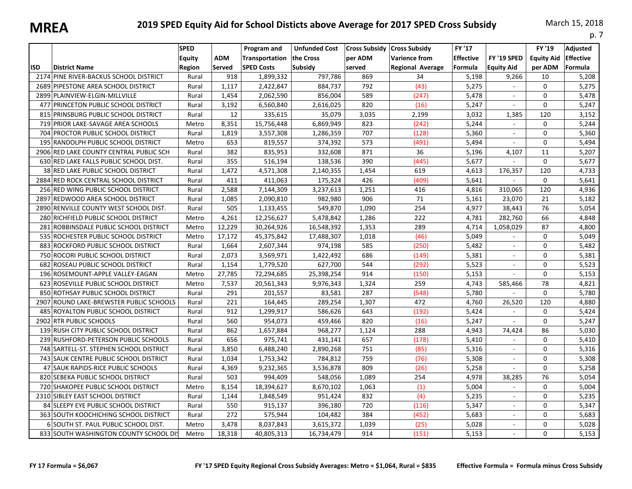| IVIILLA    |                                         |                                               |                      |                                                           |                                              |                                           |                                                                         |                                               |                                  |                                        | p. 7                                    |
|------------|-----------------------------------------|-----------------------------------------------|----------------------|-----------------------------------------------------------|----------------------------------------------|-------------------------------------------|-------------------------------------------------------------------------|-----------------------------------------------|----------------------------------|----------------------------------------|-----------------------------------------|
| <b>ISD</b> | <b>District Name</b>                    | <b>SPED</b><br><b>Equity</b><br><b>Region</b> | ADM<br><b>Served</b> | Program and<br><b>Transportation</b><br><b>SPED Costs</b> | <b>Unfunded Cost</b><br>the Cross<br>Subsidy | <b>Cross Subsidy</b><br>per ADM<br>served | <b>Cross Subsidy</b><br><b>Varience from</b><br><b>Regional Average</b> | <b>FY '17</b><br><b>Effective</b><br> Formula | FY '19 SPED<br><b>Equity Aid</b> | FY '19<br><b>Equity Aid</b><br>per ADM | Adjusted<br><b>Effective</b><br>Formula |
|            | 2174 PINE RIVER-BACKUS SCHOOL DISTRICT  | Rural                                         | 918                  | 1,899,332                                                 | 797,786                                      | 869                                       | 34                                                                      | 5,198                                         | 9,266                            | 10                                     | 5,208                                   |
|            | 2689 PIPESTONE AREA SCHOOL DISTRICT     | Rural                                         | 1,117                | 2,422,847                                                 | 884,737                                      | 792                                       | (43)                                                                    | 5,275                                         | $\sim$                           | $\Omega$                               | 5,275                                   |
|            | 2899 PLAINVIEW-ELGIN-MILLVILLE          | Rural                                         | 1,454                | 2,062,590                                                 | 856,004                                      | 589                                       | (247)                                                                   | 5,478                                         | $\sim$                           | $\Omega$                               | 5,478                                   |
|            | 477 PRINCETON PUBLIC SCHOOL DISTRICT    | Rural                                         | 3,192                | 6,560,840                                                 | 2,616,025                                    | 820                                       | (16)                                                                    | 5,247                                         | $\sim$                           | $\mathbf 0$                            | 5,247                                   |
|            | 815 PRINSBURG PUBLIC SCHOOL DISTRICT    | Rural                                         | 12                   | 335,615                                                   | 35,079                                       | 3,035                                     | 2,199                                                                   | 3,032                                         | 1,385                            | 120                                    | 3,152                                   |
|            | 719 PRIOR LAKE-SAVAGE AREA SCHOOLS      | Metro                                         | 8,351                | 15,756,448                                                | 6,869,949                                    | 823                                       | (242)                                                                   | 5,244                                         | $\mathcal{L}_{\mathcal{A}}$      | $\Omega$                               | 5,244                                   |
|            | 704 PROCTOR PUBLIC SCHOOL DISTRICT      | Rural                                         | 1,819                | 3,557,308                                                 | 1,286,359                                    | 707                                       | (128)                                                                   | 5,360                                         |                                  | $\Omega$                               | 5,360                                   |
|            | 195 RANDOLPH PUBLIC SCHOOL DISTRICT     | Metro                                         | 653                  | 819,557                                                   | 374,392                                      | 573                                       | (491)                                                                   | 5,494                                         | $\mathcal{L}_{\mathcal{A}}$      | $\Omega$                               | 5,494                                   |
|            | 2906 RED LAKE COUNTY CENTRAL PUBLIC SCH | Rural                                         | 382                  | 835,953                                                   | 332,608                                      | 871                                       | 36                                                                      | 5,196                                         | 4,107                            | 11                                     | 5,207                                   |
|            | 630 RED LAKE FALLS PUBLIC SCHOOL DIST.  | Rural                                         | 355                  | 516,194                                                   | 138,536                                      | 390                                       | (445)                                                                   | 5,677                                         | $\sim$                           | 0                                      | 5,677                                   |
|            | 38 RED LAKE PUBLIC SCHOOL DISTRICT      | Rural                                         | 1,472                | 4,571,308                                                 | 2,140,355                                    | 1,454                                     | 619                                                                     | 4,613                                         | 176,357                          | 120                                    | 4,733                                   |
|            | 2884 RED ROCK CENTRAL SCHOOL DISTRICT   | Rural                                         | 411                  | 411,063                                                   | 175,324                                      | 426                                       | (409)                                                                   | 5,641                                         |                                  | $\Omega$                               | 5,641                                   |
|            | 256 RED WING PUBLIC SCHOOL DISTRICT     | Rural                                         | 2,588                | 7,144,309                                                 | 3,237,613                                    | 1,251                                     | 416                                                                     | 4,816                                         | 310,065                          | 120                                    | 4,936                                   |
|            | 2897 REDWOOD AREA SCHOOL DISTRICT       | Rural                                         | 1,085                | 2,090,810                                                 | 982,980                                      | 906                                       | 71                                                                      | 5,161                                         | 23,070                           | 21                                     | 5,182                                   |
|            | 2890 RENVILLE COUNTY WEST SCHOOL DIST.  | Rural                                         | 505                  | 1,133,455                                                 | 549,870                                      | 1,090                                     | 254                                                                     | 4,977                                         | 38,443                           | 76                                     | 5,054                                   |
|            | 280 RICHFIELD PUBLIC SCHOOL DISTRICT    | Metro                                         | 4,261                | 12,256,627                                                | 5,478,842                                    | 1,286                                     | 222                                                                     | 4,781                                         | 282,760                          | 66                                     | 4,848                                   |
|            | 281 ROBBINSDALE PUBLIC SCHOOL DISTRICT  | Metro                                         | 12,229               | 30,264,926                                                | 16,548,392                                   | 1,353                                     | 289                                                                     | 4,714                                         | 1,058,029                        | 87                                     | 4,800                                   |
|            | 535 ROCHESTER PUBLIC SCHOOL DISTRICT    | Metro                                         | 17,172               | 45,375,842                                                | 17,488,307                                   | 1,018                                     | (46)                                                                    | 5,049                                         |                                  | $\mathbf 0$                            | 5,049                                   |
|            | 883 ROCKFORD PUBLIC SCHOOL DISTRICT     | Rural                                         | 1,664                | 2,607,344                                                 | 974,198                                      | 585                                       | (250)                                                                   | 5,482                                         | $\sim$                           | 0                                      | 5,482                                   |
|            | 750 ROCORI PUBLIC SCHOOL DISTRICT       | Rural                                         | 2,073                | 3,569,971                                                 | 1,422,492                                    | 686                                       | (149)                                                                   | 5,381                                         | $\sim$                           | 0                                      | 5,381                                   |
|            | 682 ROSEAU PUBLIC SCHOOL DISTRICT       | Rural                                         | 1,154                | 1,779,520                                                 | 627,700                                      | 544                                       | (292)                                                                   | 5,523                                         |                                  | $\Omega$                               | 5,523                                   |
|            | 196 ROSEMOUNT-APPLE VALLEY-EAGAN        | Metro                                         | 27,785               | 72,294,685                                                | 25,398,254                                   | 914                                       | (150)                                                                   | 5,153                                         | $\sim$                           | $\Omega$                               | 5,153                                   |
|            | 623 ROSEVILLE PUBLIC SCHOOL DISTRICT    | Metro                                         | 7,537                | 20,561,343                                                | 9,976,343                                    | 1,324                                     | 259                                                                     | 4,743                                         | 585,466                          | 78                                     | 4,821                                   |
|            | 850 ROTHSAY PUBLIC SCHOOL DISTRICT      | Rural                                         | 291                  | 201,557                                                   | 83,581                                       | 287                                       | (548)                                                                   | 5,780                                         |                                  | $\Omega$                               | 5,780                                   |
|            | 2907 ROUND LAKE-BREWSTER PUBLIC SCHOOLS | Rural                                         | 221                  | 164,445                                                   | 289,254                                      | 1,307                                     | 472                                                                     | 4,760                                         | 26,520                           | 120                                    | 4,880                                   |
|            | 485 ROYALTON PUBLIC SCHOOL DISTRICT     | Rural                                         | 912                  | 1,299,917                                                 | 586,626                                      | 643                                       | (192)                                                                   | 5,424                                         | $\sim$                           | $\Omega$                               | 5,424                                   |
|            | 2902 RTR PUBLIC SCHOOLS                 | Rural                                         | 560                  | 954,073                                                   | 459,466                                      | 820                                       | (16)                                                                    | 5,247                                         | $\mathcal{L}_{\mathcal{A}}$      | $\Omega$                               | 5,247                                   |
|            | 139 RUSH CITY PUBLIC SCHOOL DISTRICT    | Rural                                         | 862                  | 1,657,884                                                 | 968,277                                      | 1,124                                     | 288                                                                     | 4,943                                         | 74,424                           | 86                                     | 5,030                                   |
|            | 239 RUSHFORD-PETERSON PUBLIC SCHOOLS    | Rural                                         | 656                  | 975,741                                                   | 431,141                                      | 657                                       | (178)                                                                   | 5,410                                         | $\omega$                         | $\Omega$                               | 5,410                                   |
|            | 748 SARTELL-ST. STEPHEN SCHOOL DISTRICT | Rural                                         | 3,850                | 6,488,240                                                 | 2,890,268                                    | 751                                       | (85)                                                                    | 5,316                                         | $\sim$                           | $\Omega$                               | 5,316                                   |
|            | 743 SAUK CENTRE PUBLIC SCHOOL DISTRICT  | Rural                                         | 1,034                | 1,753,342                                                 | 784,812                                      | 759                                       | (76)                                                                    | 5,308                                         | $\sim$                           | $\Omega$                               | 5,308                                   |
|            | 47 SAUK RAPIDS-RICE PUBLIC SCHOOLS      | Rural                                         | 4,369                | 9,232,365                                                 | 3,536,878                                    | 809                                       | (26)                                                                    | 5,258                                         | $\mathbf{r}$                     | $\mathbf 0$                            | 5,258                                   |
|            | 820 SEBEKA PUBLIC SCHOOL DISTRICT       | Rural                                         | 503                  | 994,409                                                   | 548,056                                      | 1,089                                     | 254                                                                     | 4,978                                         | 38,285                           | 76                                     | 5,054                                   |
|            | 720 SHAKOPEE PUBLIC SCHOOL DISTRICT     | Metro                                         | 8,154                | 18,394,627                                                | 8,670,102                                    | 1,063                                     | (1)                                                                     | 5,004                                         | $\mathcal{L}_{\mathcal{A}}$      | $\Omega$                               | 5,004                                   |
|            | 2310 SIBLEY EAST SCHOOL DISTRICT        | Rural                                         | 1,144                | 1,848,549                                                 | 951,424                                      | 832                                       | (4)                                                                     | 5,235                                         | $\sim$                           | $\Omega$                               | 5,235                                   |
|            | 84 SLEEPY EYE PUBLIC SCHOOL DISTRICT    | Rural                                         | 550                  | 915,137                                                   | 396,180                                      | 720                                       | (116)                                                                   | 5,347                                         | $\sim$                           | $\Omega$                               | 5,347                                   |
|            | 363 SOUTH KOOCHICHING SCHOOL DISTRICT   | Rural                                         | 272                  | 575,944                                                   | 104,482                                      | 384                                       | (452)                                                                   | 5,683                                         | $\sim$                           | 0                                      | 5,683                                   |
|            | 6 SOUTH ST. PAUL PUBLIC SCHOOL DIST.    | Metro                                         | 3,478                | 8,037,843                                                 | 3,615,372                                    | 1,039                                     | (25)                                                                    | 5,028                                         | $\sim$                           | 0                                      | 5,028                                   |
|            | 833 SOUTH WASHINGTON COUNTY SCHOOL DIS  | Metro                                         | 18,318               | 40,805,313                                                | 16,734,479                                   | 914                                       | (151)                                                                   | 5,153                                         |                                  | $\Omega$                               | 5,153                                   |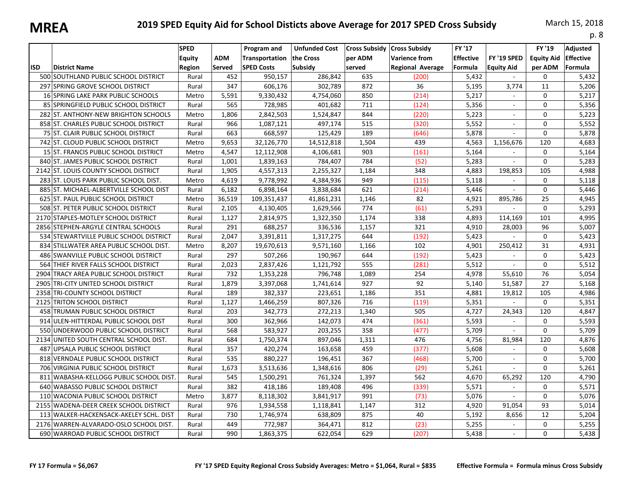|            |                                           |                                        |                      |                                                    |                                              |                                           |                                                                         |                                       |                                  |                                        | p. 8                                    |
|------------|-------------------------------------------|----------------------------------------|----------------------|----------------------------------------------------|----------------------------------------------|-------------------------------------------|-------------------------------------------------------------------------|---------------------------------------|----------------------------------|----------------------------------------|-----------------------------------------|
| <b>ISD</b> | <b>District Name</b>                      | <b>SPED</b><br><b>Equity</b><br>Region | <b>ADM</b><br>Served | Program and<br>Transportation<br><b>SPED Costs</b> | <b>Unfunded Cost</b><br>the Cross<br>Subsidy | <b>Cross Subsidy</b><br>per ADM<br>served | <b>Cross Subsidy</b><br><b>Varience from</b><br><b>Regional Average</b> | FY '17<br><b>Effective</b><br>Formula | FY '19 SPED<br><b>Equity Aid</b> | FY '19<br><b>Equity Aid</b><br>per ADM | Adjusted<br><b>Effective</b><br>Formula |
|            | 500 SOUTHLAND PUBLIC SCHOOL DISTRICT      | Rural                                  | 452                  | 950,157                                            | 286,842                                      | 635                                       | (200)                                                                   | 5,432                                 | $\sim$                           | 0                                      | 5,432                                   |
|            | 297 SPRING GROVE SCHOOL DISTRICT          | Rural                                  | 347                  | 606,176                                            | 302,789                                      | 872                                       | 36                                                                      | 5,195                                 | 3,774                            | 11                                     | 5,206                                   |
|            | <b>16 SPRING LAKE PARK PUBLIC SCHOOLS</b> | Metro                                  | 5,591                | 9,330,432                                          | 4,754,060                                    | 850                                       | (214)                                                                   | 5,217                                 |                                  | 0                                      | 5,217                                   |
|            | 85 SPRINGFIELD PUBLIC SCHOOL DISTRICT     | Rural                                  | 565                  | 728,985                                            | 401,682                                      | 711                                       | (124)                                                                   | 5,356                                 | $\sim$                           | 0                                      | 5,356                                   |
|            | 282 ST. ANTHONY-NEW BRIGHTON SCHOOLS      | Metro                                  | 1,806                | 2,842,503                                          | 1,524,847                                    | 844                                       | (220)                                                                   | 5,223                                 | $\overline{\phantom{a}}$         | 0                                      | 5,223                                   |
|            | 858 ST. CHARLES PUBLIC SCHOOL DISTRICT    | Rural                                  | 966                  | 1,087,121                                          | 497,174                                      | 515                                       | (320)                                                                   | 5,552                                 | ÷.                               | 0                                      | 5,552                                   |
|            | 75 ST. CLAIR PUBLIC SCHOOL DISTRICT       | Rural                                  | 663                  | 668,597                                            | 125,429                                      | 189                                       | (646)                                                                   | 5,878                                 |                                  | 0                                      | 5,878                                   |
|            | 742 ST. CLOUD PUBLIC SCHOOL DISTRICT      | Metro                                  | 9,653                | 32,126,770                                         | 14,512,818                                   | 1,504                                     | 439                                                                     | 4,563                                 | 1,156,676                        | 120                                    | 4,683                                   |
|            | 15 ST. FRANCIS PUBLIC SCHOOL DISTRICT     | Metro                                  | 4,547                | 12,112,908                                         | 4,106,681                                    | 903                                       | (161)                                                                   | 5,164                                 |                                  | 0                                      | 5,164                                   |
|            | 840 ST. JAMES PUBLIC SCHOOL DISTRICT      | Rural                                  | 1,001                | 1,839,163                                          | 784,407                                      | 784                                       | (52)                                                                    | 5,283                                 |                                  | 0                                      | 5,283                                   |
|            | 2142 ST. LOUIS COUNTY SCHOOL DISTRICT     | Rural                                  | 1,905                | 4,557,313                                          | 2,255,327                                    | 1,184                                     | 348                                                                     | 4,883                                 | 198,853                          | 105                                    | 4,988                                   |
|            | 283 ST. LOUIS PARK PUBLIC SCHOOL DIST.    | Metro                                  | 4,619                | 9,778,992                                          | 4,384,936                                    | 949                                       | (115)                                                                   | 5,118                                 | $\overline{\phantom{a}}$         | 0                                      | 5,118                                   |
|            | 885 ST. MICHAEL-ALBERTVILLE SCHOOL DIST   | Rural                                  | 6,182                | 6,898,164                                          | 3,838,684                                    | 621                                       | (214)                                                                   | 5,446                                 | $\sim$                           | 0                                      | 5,446                                   |
|            | 625 ST. PAUL PUBLIC SCHOOL DISTRICT       | Metro                                  | 36,519               | 109,351,437                                        | 41,861,231                                   | 1,146                                     | 82                                                                      | 4,921                                 | 895,786                          | 25                                     | 4,945                                   |
|            | 508 ST. PETER PUBLIC SCHOOL DISTRICT      | Rural                                  | 2,105                | 4,130,405                                          | 1,629,566                                    | 774                                       | (61)                                                                    | 5,293                                 |                                  | 0                                      | 5,293                                   |
|            | 2170 STAPLES-MOTLEY SCHOOL DISTRICT       | Rural                                  | 1,127                | 2,814,975                                          | 1,322,350                                    | 1,174                                     | 338                                                                     | 4,893                                 | 114,169                          | 101                                    | 4,995                                   |
|            | 2856 STEPHEN-ARGYLE CENTRAL SCHOOLS       | Rural                                  | 291                  | 688,257                                            | 336,536                                      | 1,157                                     | 321                                                                     | 4,910                                 | 28,003                           | 96                                     | 5,007                                   |
|            | 534 STEWARTVILLE PUBLIC SCHOOL DISTRICT   | Rural                                  | 2,047                | 3,391,811                                          | 1,317,275                                    | 644                                       | (192)                                                                   | 5,423                                 | $\sim$                           | $\Omega$                               | 5,423                                   |
|            | 834 STILLWATER AREA PUBLIC SCHOOL DIST.   | Metro                                  | 8,207                | 19,670,613                                         | 9,571,160                                    | 1.166                                     | 102                                                                     | 4,901                                 | 250,412                          | 31                                     | 4,931                                   |
|            | 486 SWANVILLE PUBLIC SCHOOL DISTRICT      | Rural                                  | 297                  | 507,266                                            | 190,967                                      | 644                                       | (192)                                                                   | 5,423                                 | $\sim$                           | $\Omega$                               | 5,423                                   |
|            | 564 THIEF RIVER FALLS SCHOOL DISTRICT     | Rural                                  | 2,023                | 2,837,426                                          | 1,121,792                                    | 555                                       | (281)                                                                   | 5,512                                 | $\sim$                           | 0                                      | 5,512                                   |
|            | 2904 TRACY AREA PUBLIC SCHOOL DISTRICT    | Rural                                  | 732                  | 1,353,228                                          | 796,748                                      | 1,089                                     | 254                                                                     | 4,978                                 | 55,610                           | 76                                     | 5,054                                   |
|            | 2905 TRI-CITY UNITED SCHOOL DISTRICT      | Rural                                  | 1,879                | 3,397,068                                          | 1,741,614                                    | 927                                       | 92                                                                      | 5,140                                 | 51,587                           | 27                                     | 5,168                                   |
|            | 2358 TRI-COUNTY SCHOOL DISTRICT           | Rural                                  | 189                  | 382,337                                            | 223,651                                      | 1,186                                     | 351                                                                     | 4,881                                 | 19,812                           | 105                                    | 4,986                                   |
| 2125       | <b>TRITON SCHOOL DISTRICT</b>             | Rural                                  | 1,127                | 1,466,259                                          | 807,326                                      | 716                                       | (119)                                                                   | 5,351                                 | $\omega$                         | $\Omega$                               | 5,351                                   |
|            | 458 TRUMAN PUBLIC SCHOOL DISTRICT         | Rural                                  | 203                  | 342,773                                            | 272,213                                      | 1,340                                     | 505                                                                     | 4,727                                 | 24,343                           | 120                                    | 4,847                                   |
|            | 914 ULEN-HITTERDAL PUBLIC SCHOOL DIST     | Rural                                  | 300                  | 362,966                                            | 142,073                                      | 474                                       | (361)                                                                   | 5,593                                 | $\sim$                           | 0                                      | 5,593                                   |
|            | 550 UNDERWOOD PUBLIC SCHOOL DISTRICT      | Rural                                  | 568                  | 583,927                                            | 203,255                                      | 358                                       | (477)                                                                   | 5,709                                 | $\omega$                         | 0                                      | 5,709                                   |
|            | 2134 UNITED SOUTH CENTRAL SCHOOL DIST.    | Rural                                  | 684                  | 1,750,374                                          | 897,046                                      | 1,311                                     | 476                                                                     | 4,756                                 | 81,984                           | 120                                    | 4,876                                   |
|            | 487 UPSALA PUBLIC SCHOOL DISTRICT         | Rural                                  | 357                  | 420,274                                            | 163,658                                      | 459                                       | (377)                                                                   | 5,608                                 | $\mathcal{L}_{\mathcal{A}}$      | $\Omega$                               | 5,608                                   |
|            | 818 VERNDALE PUBLIC SCHOOL DISTRICT       | Rural                                  | 535                  | 880,227                                            | 196,451                                      | 367                                       | (468)                                                                   | 5,700                                 |                                  | 0                                      | 5,700                                   |
|            | 706 VIRGINIA PUBLIC SCHOOL DISTRICT       | Rural                                  | 1,673                | 3,513,636                                          | 1,348,616                                    | 806                                       | (29)                                                                    | 5,261                                 | $\sim$                           | 0                                      | 5,261                                   |
|            | 811 WABASHA-KELLOGG PUBLIC SCHOOL DIST.   | Rural                                  | 545                  | 1,500,291                                          | 761,324                                      | 1,397                                     | 562                                                                     | 4,670                                 | 65,292                           | 120                                    | 4,790                                   |
|            | 640 WABASSO PUBLIC SCHOOL DISTRICT        | Rural                                  | 382                  | 418,186                                            | 189,408                                      | 496                                       | (339)                                                                   | 5,571                                 | $\sim$                           | 0                                      | 5,571                                   |
|            | 110 WACONIA PUBLIC SCHOOL DISTRICT        | Metro                                  | 3,877                | 8,118,302                                          | 3,841,917                                    | 991                                       | (73)                                                                    | 5,076                                 | $\mathbf{r}$                     | 0                                      | 5,076                                   |
|            | 2155 WADENA-DEER CREEK SCHOOL DISTRICT    | Rural                                  | 976                  | 1,934,558                                          | 1,118,841                                    | 1,147                                     | 312                                                                     | 4,920                                 | 91,054                           | 93                                     | 5,014                                   |
|            | 113 WALKER-HACKENSACK-AKELEY SCHL. DIST   | Rural                                  | 730                  | 1,746,974                                          | 638,809                                      | 875                                       | 40                                                                      | 5,192                                 | 8,656                            | 12                                     | 5,204                                   |
|            | 2176 WARREN-ALVARADO-OSLO SCHOOL DIST.    | Rural                                  | 449                  | 772,987                                            | 364,471                                      | 812                                       | (23)                                                                    | 5,255                                 |                                  | 0                                      | 5,255                                   |
|            | 690 WARROAD PUBLIC SCHOOL DISTRICT        | Rural                                  | 990                  | 1,863,375                                          | 622,054                                      | 629                                       | (207)                                                                   | 5,438                                 | $\sim$                           | 0                                      | 5,438                                   |